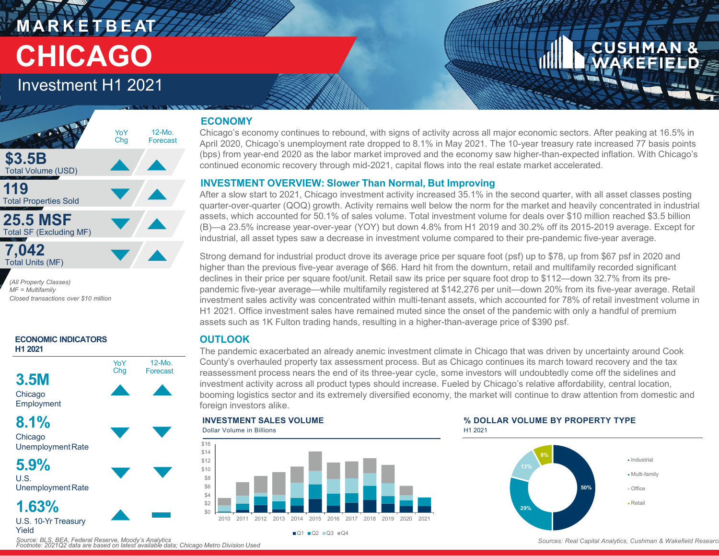## **M A R K E T B E AT CHICAGO**

## Investment H1 2021



*(All Property Classes) MF = Multifamily Closed transactions over \$10 million*



#### **ECONOMY**

Chicago's economy continues to rebound, with signs of activity across all major economic sectors. After peaking at 16.5% in April 2020, Chicago's unemployment rate dropped to 8.1% in May 2021. The 10-year treasury rate increased 77 basis points (bps) from year-end 2020 as the labor market improved and the economy saw higher-than-expected inflation. With Chicago's continued economic recovery through mid-2021, capital flows into the real estate market accelerated.

#### **INVESTMENT OVERVIEW: Slower Than Normal, But Improving**

After a slow start to 2021, Chicago investment activity increased 35.1% in the second quarter, with all asset classes posting quarter-over-quarter (QOQ) growth. Activity remains well below the norm for the market and heavily concentrated in industrial assets, which accounted for 50.1% of sales volume. Total investment volume for deals over \$10 million reached \$3.5 billion (B)—a 23.5% increase year-over-year (YOY) but down 4.8% from H1 2019 and 30.2% off its 2015-2019 average. Except for industrial, all asset types saw a decrease in investment volume compared to their pre-pandemic five-year average.

Strong demand for industrial product drove its average price per square foot (psf) up to \$78, up from \$67 psf in 2020 and higher than the previous five-year average of \$66. Hard hit from the downturn, retail and multifamily recorded significant declines in their price per square foot/unit. Retail saw its price per square foot drop to \$112—down 32.7% from its prepandemic five-year average—while multifamily registered at \$142,276 per unit—down 20% from its five-year average. Retail investment sales activity was concentrated within multi-tenant assets, which accounted for 78% of retail investment volume in H1 2021. Office investment sales have remained muted since the onset of the pandemic with only a handful of premium assets such as 1K Fulton trading hands, resulting in a higher-than-average price of \$390 psf.

### **OUTLOOK**

The pandemic exacerbated an already anemic investment climate in Chicago that was driven by uncertainty around Cook County's overhauled property tax assessment process. But as Chicago continues its march toward recovery and the tax reassessment process nears the end of its three-year cycle, some investors will undoubtedly come off the sidelines and investment activity across all product types should increase. Fueled by Chicago's relative affordability, central location, booming logistics sector and its extremely diversified economy, the market will continue to draw attention from domestic and foreign investors alike.



 $\blacksquare$ Q1  $\blacksquare$ Q2  $\blacksquare$ Q3  $\blacksquare$ Q4





*Source: BLS, BEA, Federal Reserve, Moody's Analytics Footnote: 2021Q2 data are based on latest available data; Chicago Metro Division Used*

#### Sources: Real Capital Analytics, Cushman & Wakefield Research